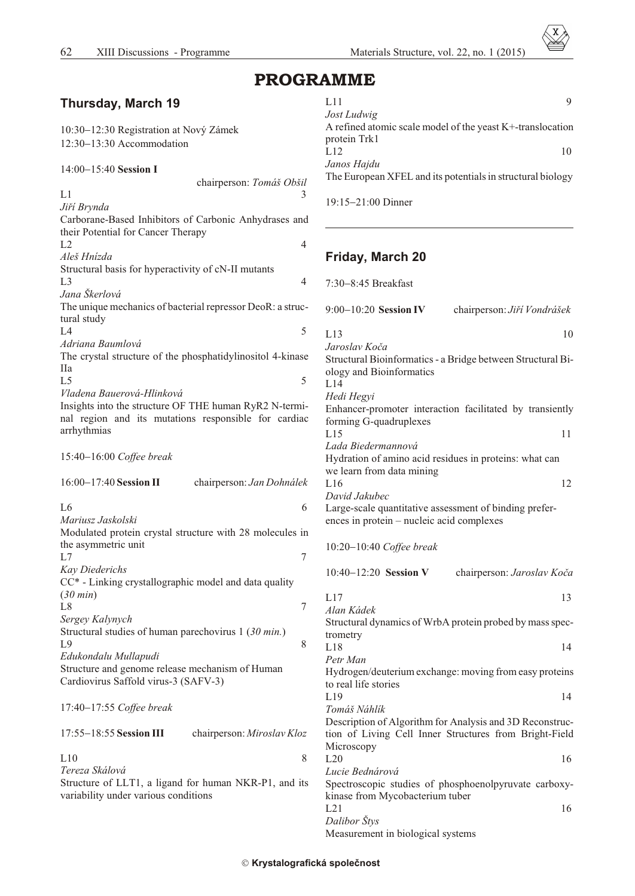$\bar{x}$ 

# PROGRAMME

| <b>Thursday, March 19</b>                                  | L11<br>9                                                    |
|------------------------------------------------------------|-------------------------------------------------------------|
|                                                            | Jost Ludwig                                                 |
| 10:30 12:30 Registration at Nový Zámek                     | A refined atomic scale model of the yeast K+-translocation  |
| 12:30 13:30 Accommodation                                  | protein Trk1                                                |
|                                                            | L12<br>10                                                   |
|                                                            | Janos Hajdu                                                 |
| 14:00 15:40 Session I                                      | The European XFEL and its potentials in structural biology  |
| chairperson: Tomáš Obšil                                   |                                                             |
| L1<br>3                                                    | 19:15 21:00 Dinner                                          |
| Jiří Brynda                                                |                                                             |
| Carborane-Based Inhibitors of Carbonic Anhydrases and      |                                                             |
| their Potential for Cancer Therapy                         |                                                             |
| L2<br>$\overline{4}$                                       |                                                             |
| Aleš Hnízda                                                | <b>Friday, March 20</b>                                     |
| Structural basis for hyperactivity of cN-II mutants        |                                                             |
| L <sub>3</sub><br>4                                        | 7:30 8:45 Breakfast                                         |
| Jana Škerlová                                              |                                                             |
| The unique mechanics of bacterial repressor DeoR: a struc- | 9:00 10:20 Session IV<br>chairperson: Jiří Vondrášek        |
| tural study                                                |                                                             |
| 5<br>L4                                                    | L13                                                         |
| Adriana Baumlová                                           | 10                                                          |
| The crystal structure of the phosphatidylinositol 4-kinase | Jaroslav Koča                                               |
|                                                            | Structural Bioinformatics - a Bridge between Structural Bi- |
| <b>IIa</b>                                                 | ology and Bioinformatics                                    |
| 5<br>L <sub>5</sub>                                        | L14                                                         |
| Vladena Bauerová-Hlinková                                  | Hedi Hegyi                                                  |
| Insights into the structure OF THE human RyR2 N-termi-     | Enhancer-promoter interaction facilitated by transiently    |
| nal region and its mutations responsible for cardiac       | forming G-quadruplexes                                      |
| arrhythmias                                                | L15<br>11                                                   |
|                                                            | Lada Biedermannová                                          |
| 15:40 16:00 Coffee break                                   | Hydration of amino acid residues in proteins: what can      |
|                                                            | we learn from data mining                                   |
| 16:00 17:40 Session II<br>chairperson: Jan Dohnálek        | L16<br>12                                                   |
|                                                            | David Jakubec                                               |
| L <sub>6</sub><br>6                                        | Large-scale quantitative assessment of binding prefer-      |
| Mariusz Jaskolski                                          | ences in protein – nucleic acid complexes                   |
| Modulated protein crystal structure with 28 molecules in   |                                                             |
|                                                            |                                                             |
| the asymmetric unit<br>L7                                  | 10:20 10:40 Coffee break                                    |
| 7                                                          |                                                             |
| <b>Kay Diederichs</b>                                      | 10:40 12:20 Session V<br>chairperson: Jaroslav Koča         |
| CC* - Linking crystallographic model and data quality      |                                                             |
| $(30 \text{ min})$                                         | L17<br>13                                                   |
| $\sqrt{ }$<br>L <sub>8</sub>                               | Alan Kádek                                                  |
| Sergey Kalynych                                            | Structural dynamics of WrbA protein probed by mass spec-    |
| Structural studies of human parechovirus 1 (30 min.)       | trometry                                                    |
| L9<br>8                                                    | L18<br>14                                                   |
| Edukondalu Mullapudi                                       | Petr Man                                                    |
| Structure and genome release mechanism of Human            | Hydrogen/deuterium exchange: moving from easy proteins      |
| Cardiovirus Saffold virus-3 (SAFV-3)                       | to real life stories                                        |
|                                                            | L19<br>14                                                   |
| 17:40 17:55 Coffee break                                   | Tomáš Náhlík                                                |
|                                                            |                                                             |
|                                                            | Description of Algorithm for Analysis and 3D Reconstruc-    |
| 17:55 18:55 Session III<br>chairperson: Miroslav Kloz      | tion of Living Cell Inner Structures from Bright-Field      |
|                                                            | Microscopy                                                  |
| $8\,$<br>L10                                               | L20<br>16                                                   |
| Tereza Skálová                                             | Lucie Bednárová                                             |
| Structure of LLT1, a ligand for human NKR-P1, and its      | Spectroscopic studies of phosphoenolpyruvate carboxy-       |
| variability under various conditions                       | kinase from Mycobacterium tuber                             |
|                                                            | L21<br>16                                                   |
|                                                            | Dalibor Štys                                                |
|                                                            | Measurement in biological systems                           |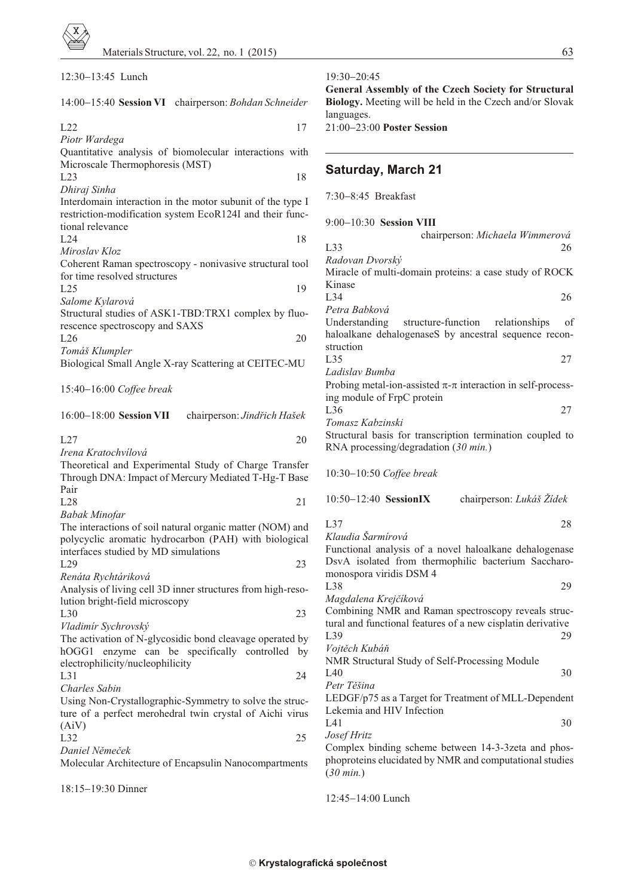| 12:30 13:45 Lunch                                           | 19:30 20:45<br>General Assembly of the Czech Society for Structural |
|-------------------------------------------------------------|---------------------------------------------------------------------|
| 14:00 15:40 Session VI chairperson: Bohdan Schneider        | Biology. Meeting will be held in the Czech and/or Slovak            |
| L22<br>17                                                   | languages.<br>21:00 23:00 Poster Session                            |
| Piotr Wardega                                               |                                                                     |
| Quantitative analysis of biomolecular interactions with     |                                                                     |
| Microscale Thermophoresis (MST)                             |                                                                     |
| 18<br>L23                                                   | <b>Saturday, March 21</b>                                           |
| Dhiraj Sinha                                                |                                                                     |
| Interdomain interaction in the motor subunit of the type I  | 7:30 8:45 Breakfast                                                 |
| restriction-modification system EcoR124I and their func-    |                                                                     |
| tional relevance                                            | 9:00 10:30 Session VIII                                             |
| L24<br>18                                                   | chairperson: Michaela Wimmerová                                     |
| Miroslav Kloz                                               | L33<br>26                                                           |
| Coherent Raman spectroscopy - nonivasive structural tool    | Radovan Dvorský                                                     |
| for time resolved structures                                | Miracle of multi-domain proteins: a case study of ROCK              |
| L25<br>19                                                   | Kinase                                                              |
| Salome Kylarová                                             | L34<br>26                                                           |
| Structural studies of ASK1-TBD:TRX1 complex by fluo-        | Petra Babková                                                       |
|                                                             | Understanding<br>structure-function<br>relationships<br>of          |
| rescence spectroscopy and SAXS<br>20<br>L26                 | haloalkane dehalogenaseS by ancestral sequence recon-               |
|                                                             | struction                                                           |
| Tomáš Klumpler                                              | L35<br>27                                                           |
| Biological Small Angle X-ray Scattering at CEITEC-MU        | Ladislav Bumba                                                      |
|                                                             | Probing metal-ion-assisted - interaction in self-process-           |
| 15:40 16:00 Coffee break                                    | ing module of FrpC protein                                          |
|                                                             | L36<br>27                                                           |
| 16:00 18:00 Session VII<br>chairperson: Jindřich Hašek      | Tomasz Kabzinski                                                    |
|                                                             | Structural basis for transcription termination coupled to           |
| L27<br>20                                                   | RNA processing/degradation $(30 \text{ min.})$                      |
| Irena Kratochvílová                                         |                                                                     |
| Theoretical and Experimental Study of Charge Transfer       | 10:30 10:50 Coffee break                                            |
| Through DNA: Impact of Mercury Mediated T-Hg-T Base         |                                                                     |
| Pair                                                        | 10:50 12:40 SessionIX                                               |
| L28<br>21                                                   | chairperson: Lukáš Žídek                                            |
| <b>Babak Minofar</b>                                        | L37<br>28                                                           |
| The interactions of soil natural organic matter (NOM) and   | Klaudia Šarmírová                                                   |
| polycyclic aromatic hydrocarbon (PAH) with biological       | Functional analysis of a novel haloalkane dehalogenase              |
| interfaces studied by MD simulations                        | DsvA isolated from thermophilic bacterium Saccharo-                 |
| 23<br>L29                                                   | monospora viridis DSM 4                                             |
| Renáta Rychtáriková                                         | L38<br>29                                                           |
| Analysis of living cell 3D inner structures from high-reso- | Magdalena Krejčíková                                                |
| lution bright-field microscopy                              | Combining NMR and Raman spectroscopy reveals struc-                 |
| L30<br>23                                                   | tural and functional features of a new cisplatin derivative         |
| Vladimír Sychrovský                                         | L39<br>29                                                           |
| The activation of N-glycosidic bond cleavage operated by    | Vojtěch Kubáň                                                       |
| hOGG1 enzyme can be specifically controlled by              | NMR Structural Study of Self-Processing Module                      |
| electrophilicity/nucleophilicity                            | L40<br>30                                                           |
| L31<br>24                                                   | Petr Těšina                                                         |
| Charles Sabin                                               | LEDGF/p75 as a Target for Treatment of MLL-Dependent                |
| Using Non-Crystallographic-Symmetry to solve the struc-     | Lekemia and HIV Infection                                           |
| ture of a perfect merohedral twin crystal of Aichi virus    | L41<br>30                                                           |
| (AiV)                                                       | Josef Hritz                                                         |
| 25<br>L <sub>32</sub>                                       | Complex binding scheme between 14-3-3zeta and phos-                 |
| Daniel Němeček                                              | phoproteins elucidated by NMR and computational studies             |
| Molecular Architecture of Encapsulin Nanocompartments       | $(30 \text{ min.})$                                                 |
|                                                             |                                                                     |
| 18:15 19:30 Dinner                                          |                                                                     |

| Biology. Meeting will be held in the Czech and/or Slovak<br>languages.<br>21:00 23:00 Poster Session<br><b>Saturday, March 21</b> |                                       |  |  |
|-----------------------------------------------------------------------------------------------------------------------------------|---------------------------------------|--|--|
|                                                                                                                                   |                                       |  |  |
| 9:00 10:30 Session VIII                                                                                                           |                                       |  |  |
| L33                                                                                                                               | chairperson: Michaela Wimmerová<br>26 |  |  |
| Radovan Dvorský                                                                                                                   |                                       |  |  |
| Miracle of multi-domain proteins: a case study of ROCK<br>Kinase                                                                  |                                       |  |  |
| L34                                                                                                                               | 26                                    |  |  |
| Petra Babková                                                                                                                     |                                       |  |  |
| Understanding structure-function relationships<br>haloalkane dehalogenaseS by ancestral sequence recon-<br>struction              | of                                    |  |  |
| L35                                                                                                                               | 27                                    |  |  |
| Ladislav Bumba                                                                                                                    |                                       |  |  |
| Probing metal-ion-assisted - interaction in self-process-<br>ing module of FrpC protein                                           |                                       |  |  |
| L <sub>36</sub>                                                                                                                   | 27                                    |  |  |
| Tomasz Kabzinski                                                                                                                  |                                       |  |  |
| Structural basis for transcription termination coupled to                                                                         |                                       |  |  |
| RNA processing/degradation $(30 \text{ min.})$                                                                                    |                                       |  |  |
| 10:30 10:50 Coffee break                                                                                                          |                                       |  |  |
| 10:50 12:40 SessionIX                                                                                                             | chairperson: Lukáš Žídek              |  |  |
| L37                                                                                                                               | 28                                    |  |  |
| Klaudia Šarmírová                                                                                                                 |                                       |  |  |
| Functional analysis of a novel haloalkane dehalogenase                                                                            |                                       |  |  |
| DsvA isolated from thermophilic bacterium Saccharo-<br>monospora viridis DSM 4                                                    |                                       |  |  |
| L38                                                                                                                               | 29                                    |  |  |
| Magdalena Krejčíková                                                                                                              |                                       |  |  |
| Combining NMR and Raman spectroscopy reveals struc-                                                                               |                                       |  |  |
| tural and functional features of a new cisplatin derivative                                                                       |                                       |  |  |
| L <sub>39</sub>                                                                                                                   | 29                                    |  |  |
| Vojtěch Kubáň<br>NMR Structural Study of Self-Processing Module                                                                   |                                       |  |  |
| L40                                                                                                                               | 30                                    |  |  |
| Petr Těšina                                                                                                                       |                                       |  |  |
| LEDGF/p75 as a Target for Treatment of MLL-Dependent                                                                              |                                       |  |  |
| Lekemia and HIV Infection<br>L41                                                                                                  | 30                                    |  |  |
| <i>Josef Hritz</i>                                                                                                                |                                       |  |  |
| Complex binding scheme between 14-3-3zeta and phos-                                                                               |                                       |  |  |
| phoproteins elucidated by NMR and computational studies                                                                           |                                       |  |  |
| $(30 \text{ min.})$                                                                                                               |                                       |  |  |

12:45 14:00 Lunch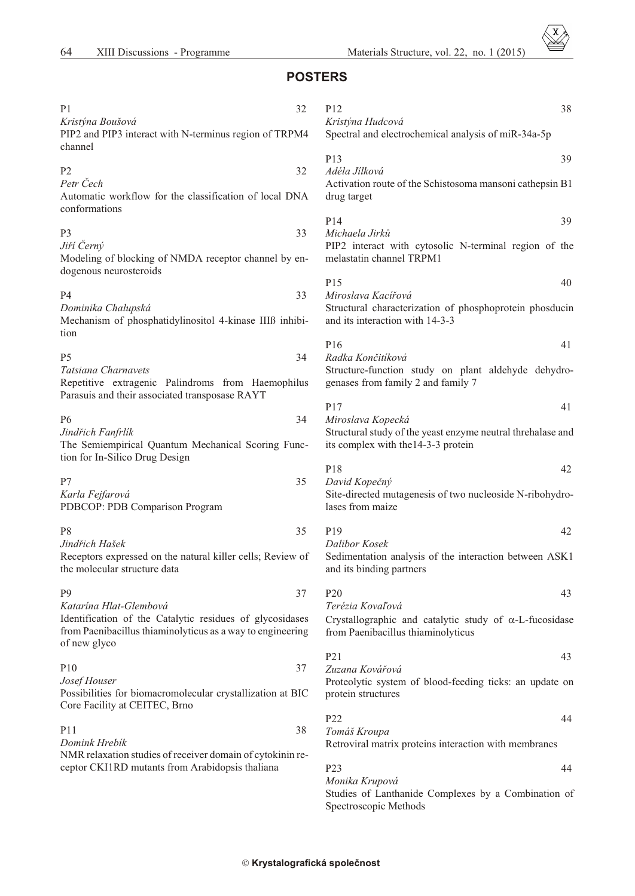Materials Structure, vol. 22, no. 1 (2015)

# **POSTERS**

| P <sub>1</sub><br>Kristýna Boušová<br>PIP2 and PIP3 interact with N-terminus region of TRPM4                                           | 32 | P <sub>12</sub><br>38<br>Kristýna Hudcová<br>Spectral and electrochemical analysis of miR-34a-5p   |
|----------------------------------------------------------------------------------------------------------------------------------------|----|----------------------------------------------------------------------------------------------------|
| channel                                                                                                                                |    | P13<br>39                                                                                          |
| P <sub>2</sub>                                                                                                                         | 32 | Adéla Jilková                                                                                      |
| Petr Čech<br>Automatic workflow for the classification of local DNA<br>conformations                                                   |    | Activation route of the Schistosoma mansoni cathepsin B1<br>drug target                            |
|                                                                                                                                        |    | P14<br>39                                                                                          |
| P <sub>3</sub>                                                                                                                         | 33 | Michaela Jirků                                                                                     |
| Jiří Černý<br>Modeling of blocking of NMDA receptor channel by en-<br>dogenous neurosteroids                                           |    | PIP2 interact with cytosolic N-terminal region of the<br>melastatin channel TRPM1                  |
|                                                                                                                                        |    | P15<br>40                                                                                          |
| P <sub>4</sub>                                                                                                                         | 33 | Miroslava Kacířová                                                                                 |
| Dominika Chalupská<br>Mechanism of phosphatidylinositol 4-kinase IIIB inhibi-                                                          |    | Structural characterization of phosphoprotein phosducin<br>and its interaction with 14-3-3         |
| tion                                                                                                                                   |    | P16<br>41                                                                                          |
| P <sub>5</sub>                                                                                                                         | 34 | Radka Končitíková                                                                                  |
| Tatsiana Charnavets<br>Repetitive extragenic Palindroms from Haemophilus                                                               |    | Structure-function study on plant aldehyde dehydro-<br>genases from family 2 and family 7          |
| Parasuis and their associated transposase RAYT                                                                                         |    | P17<br>41                                                                                          |
| P <sub>6</sub>                                                                                                                         | 34 | Miroslava Kopecká                                                                                  |
| Jindřich Fanfrlík<br>The Semiempirical Quantum Mechanical Scoring Func-                                                                |    | Structural study of the yeast enzyme neutral threhalase and<br>its complex with the 14-3-3 protein |
| tion for In-Silico Drug Design                                                                                                         |    | P18<br>42                                                                                          |
| P7                                                                                                                                     | 35 | David Kopečný                                                                                      |
| Karla Fejfarová<br>PDBCOP: PDB Comparison Program                                                                                      |    | Site-directed mutagenesis of two nucleoside N-ribohydro-<br>lases from maize                       |
| P <sub>8</sub>                                                                                                                         | 35 | P19<br>42                                                                                          |
| Jindřich Hašek                                                                                                                         |    | Dalibor Kosek                                                                                      |
| Receptors expressed on the natural killer cells; Review of<br>the molecular structure data                                             |    | Sedimentation analysis of the interaction between ASK1<br>and its binding partners                 |
| P <sub>9</sub>                                                                                                                         | 37 | P <sub>20</sub><br>43                                                                              |
| Katarína Hlat-Glembová                                                                                                                 |    | Terézia Kovaľová                                                                                   |
| Identification of the Catalytic residues of glycosidases<br>from Paenibacillus thiaminolyticus as a way to engineering<br>of new glyco |    | Crystallographic and catalytic study of -L-fucosidase<br>from Paenibacillus thiaminolyticus        |
|                                                                                                                                        |    | P <sub>21</sub><br>43                                                                              |
| P10                                                                                                                                    | 37 | Zuzana Kovářová                                                                                    |
| Josef Houser<br>Possibilities for biomacromolecular crystallization at BIC<br>Core Facility at CEITEC, Brno                            |    | Proteolytic system of blood-feeding ticks: an update on<br>protein structures                      |
|                                                                                                                                        |    | P22<br>44                                                                                          |
| P11                                                                                                                                    | 38 | Tomáš Kroupa                                                                                       |
| Domink Hrebík<br>NMR relaxation studies of receiver domain of cytokinin re-                                                            |    | Retroviral matrix proteins interaction with membranes                                              |
| ceptor CKI1RD mutants from Arabidopsis thaliana                                                                                        |    | P <sub>23</sub><br>44                                                                              |
|                                                                                                                                        |    | Monika Krupová                                                                                     |
|                                                                                                                                        |    | Studies of Lanthanide Complexes by a Combination of                                                |

Spectroscopic Methods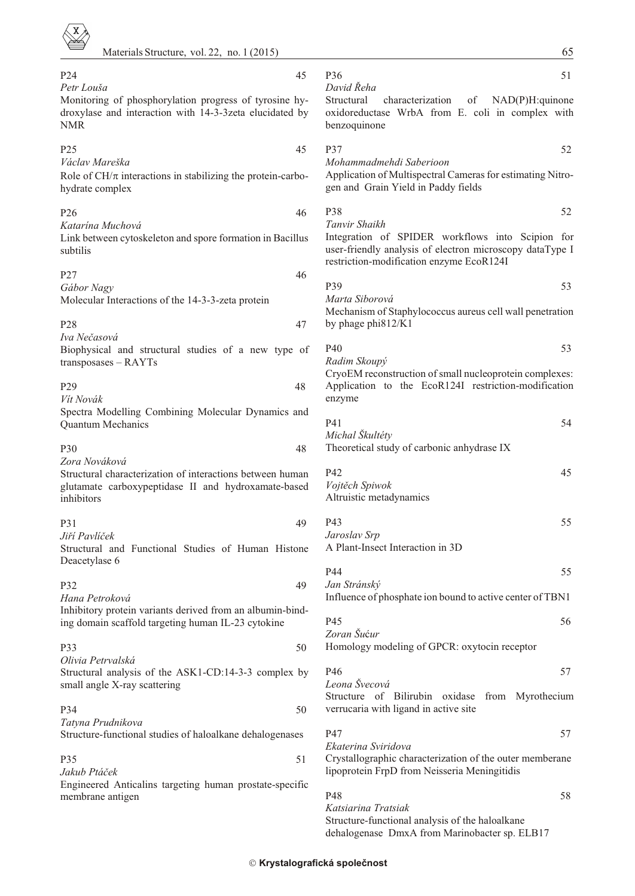| P <sub>24</sub><br>Petr Louša                                                                                                   | 45 | P <sub>36</sub><br>51<br>David Řeha                                                                                                                      |
|---------------------------------------------------------------------------------------------------------------------------------|----|----------------------------------------------------------------------------------------------------------------------------------------------------------|
| Monitoring of phosphorylation progress of tyrosine hy-<br>droxylase and interaction with 14-3-3zeta elucidated by<br><b>NMR</b> |    | Structural<br>characterization<br>of<br>$NAD(P)H$ : quinone<br>oxidoreductase WrbA from E. coli in complex with<br>benzoquinone                          |
| P25                                                                                                                             | 45 | <b>P37</b><br>52                                                                                                                                         |
| Václav Mareška<br>Role of CH/ interactions in stabilizing the protein-carbo-<br>hydrate complex                                 |    | Mohammadmehdi Saberioon<br>Application of Multispectral Cameras for estimating Nitro-<br>gen and Grain Yield in Paddy fields                             |
| P <sub>26</sub>                                                                                                                 | 46 | P38<br>52<br>Tanvir Shaikh                                                                                                                               |
| Katarína Muchová<br>Link between cytoskeleton and spore formation in Bacillus<br>subtilis                                       |    | Integration of SPIDER workflows into Scipion for<br>user-friendly analysis of electron microscopy dataType I<br>restriction-modification enzyme EcoR124I |
| P27                                                                                                                             | 46 |                                                                                                                                                          |
| Gábor Nagy<br>Molecular Interactions of the 14-3-3-zeta protein                                                                 |    | P39<br>53<br>Marta Siborová                                                                                                                              |
| P <sub>28</sub><br>Iva Nečasová                                                                                                 | 47 | Mechanism of Staphylococcus aureus cell wall penetration<br>by phage phi812/K1                                                                           |
| Biophysical and structural studies of a new type of                                                                             |    | P40<br>53                                                                                                                                                |
| $transposases - RAYTs$                                                                                                          |    | Radim Skoupý<br>CryoEM reconstruction of small nucleoprotein complexes:                                                                                  |
| P <sub>29</sub><br>Vit Novák                                                                                                    | 48 | Application to the EcoR124I restriction-modification<br>enzyme                                                                                           |
| Spectra Modelling Combining Molecular Dynamics and                                                                              |    |                                                                                                                                                          |
| <b>Quantum Mechanics</b>                                                                                                        |    | P41<br>54<br>Michal Škultéty                                                                                                                             |
| <b>P30</b>                                                                                                                      | 48 | Theoretical study of carbonic anhydrase IX                                                                                                               |
| Zora Nováková<br>Structural characterization of interactions between human                                                      |    | P42<br>45                                                                                                                                                |
| glutamate carboxypeptidase II and hydroxamate-based<br>inhibitors                                                               |    | Vojtěch Spiwok<br>Altruistic metadynamics                                                                                                                |
| P31                                                                                                                             | 49 | P43<br>55                                                                                                                                                |
| Jiří Pavlíček                                                                                                                   |    | Jaroslav Srp                                                                                                                                             |
| Structural and Functional Studies of Human Histone<br>Deacetylase 6                                                             |    | A Plant-Insect Interaction in 3D                                                                                                                         |
|                                                                                                                                 |    | P44<br>55                                                                                                                                                |
| P32                                                                                                                             | 49 | Jan Stránský                                                                                                                                             |
| Hana Petroková<br>Inhibitory protein variants derived from an albumin-bind-                                                     |    | Influence of phosphate ion bound to active center of TBN1                                                                                                |
| ing domain scaffold targeting human IL-23 cytokine                                                                              |    | P45<br>56                                                                                                                                                |
| P33                                                                                                                             | 50 | Zoran Šućur<br>Homology modeling of GPCR: oxytocin receptor                                                                                              |
| Olivia Petrvalská                                                                                                               |    |                                                                                                                                                          |
| Structural analysis of the ASK1-CD:14-3-3 complex by                                                                            |    | P46<br>57<br>Leona Švecová                                                                                                                               |
| small angle X-ray scattering                                                                                                    |    | Structure of Bilirubin oxidase from Myrothecium                                                                                                          |
| P34                                                                                                                             | 50 | verrucaria with ligand in active site                                                                                                                    |
| Tatyna Prudnikova<br>Structure-functional studies of haloalkane dehalogenases                                                   |    | P47<br>57                                                                                                                                                |
|                                                                                                                                 |    | Ekaterina Sviridova                                                                                                                                      |
| <b>P35</b><br>Jakub Ptáček                                                                                                      | 51 | Crystallographic characterization of the outer memberane<br>lipoprotein FrpD from Neisseria Meningitidis                                                 |
| Engineered Anticalins targeting human prostate-specific<br>membrane antigen                                                     |    | P48<br>58                                                                                                                                                |
|                                                                                                                                 |    | Katsiarina Tratsiak                                                                                                                                      |
|                                                                                                                                 |    | Structure-functional analysis of the haloalkane<br>dehalogenase DmxA from Marinobacter sp. ELB17                                                         |
|                                                                                                                                 |    |                                                                                                                                                          |

65